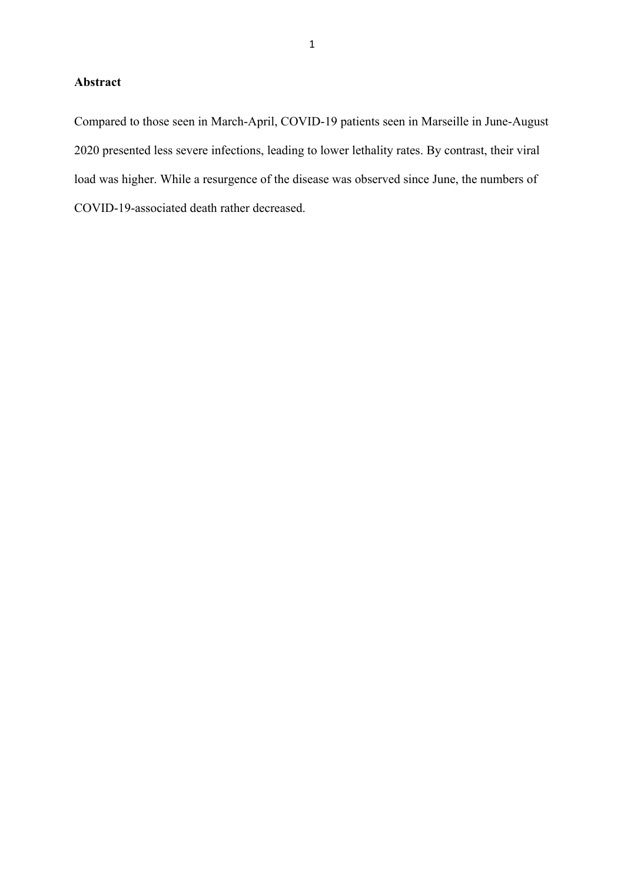## **Abstract**

Compared to those seen in March-April, COVID-19 patients seen in Marseille in June-August 2020 presented less severe infections, leading to lower lethality rates. By contrast, their viral load was higher. While a resurgence of the disease was observed since June, the numbers of COVID-19-associated death rather decreased.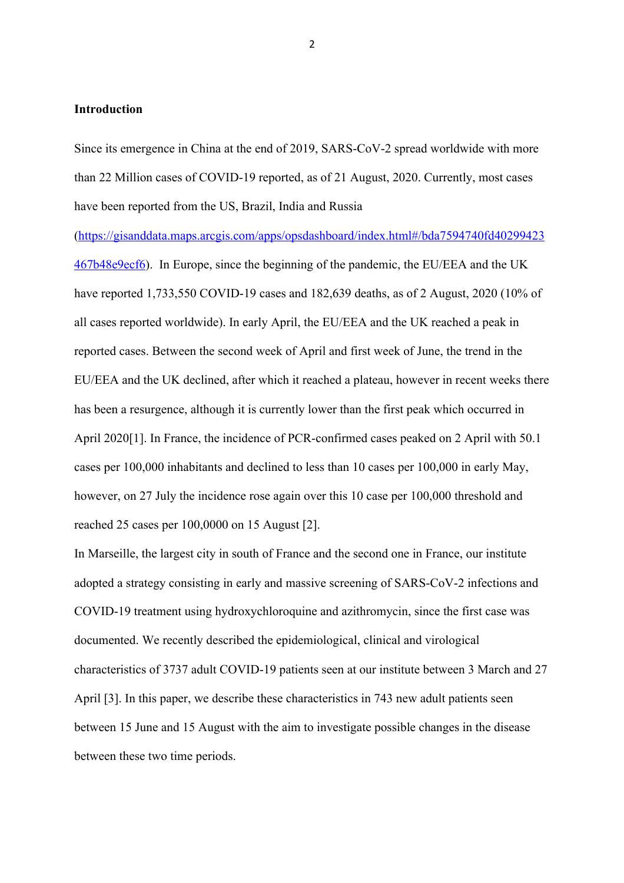### **Introduction**

Since its emergence in China at the end of 2019, SARS-CoV-2 spread worldwide with more than 22 Million cases of COVID-19 reported, as of 21 August, 2020. Currently, most cases have been reported from the US, Brazil, India and Russia

(https://gisanddata.maps.arcgis.com/apps/opsdashboard/index.html#/bda7594740fd40299423 467b48e9ecf6). In Europe, since the beginning of the pandemic, the EU/EEA and the UK have reported 1,733,550 COVID-19 cases and 182,639 deaths, as of 2 August, 2020 (10% of all cases reported worldwide). In early April, the EU/EEA and the UK reached a peak in reported cases. Between the second week of April and first week of June, the trend in the EU/EEA and the UK declined, after which it reached a plateau, however in recent weeks there has been a resurgence, although it is currently lower than the first peak which occurred in April 2020[1]. In France, the incidence of PCR-confirmed cases peaked on 2 April with 50.1 cases per 100,000 inhabitants and declined to less than 10 cases per 100,000 in early May, however, on 27 July the incidence rose again over this 10 case per 100,000 threshold and reached 25 cases per 100,0000 on 15 August [2].

In Marseille, the largest city in south of France and the second one in France, our institute adopted a strategy consisting in early and massive screening of SARS-CoV-2 infections and COVID-19 treatment using hydroxychloroquine and azithromycin, since the first case was documented. We recently described the epidemiological, clinical and virological characteristics of 3737 adult COVID-19 patients seen at our institute between 3 March and 27 April [3]. In this paper, we describe these characteristics in 743 new adult patients seen between 15 June and 15 August with the aim to investigate possible changes in the disease between these two time periods.

2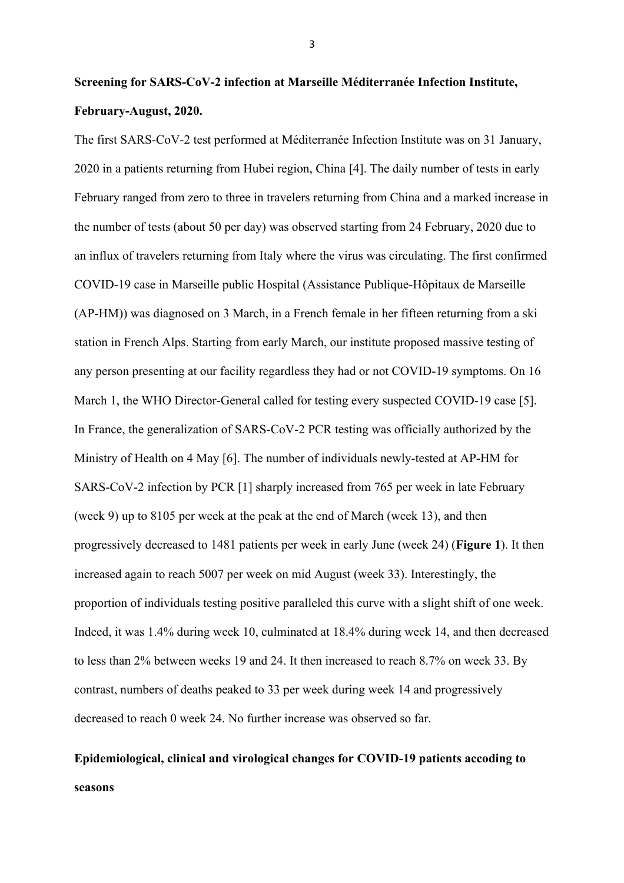# **Screening for SARS-CoV-2 infection at Marseille Méditerranée Infection Institute, February-August, 2020.**

The first SARS-CoV-2 test performed at Méditerranée Infection Institute was on 31 January, 2020 in a patients returning from Hubei region, China [4]. The daily number of tests in early February ranged from zero to three in travelers returning from China and a marked increase in the number of tests (about 50 per day) was observed starting from 24 February, 2020 due to an influx of travelers returning from Italy where the virus was circulating. The first confirmed COVID-19 case in Marseille public Hospital (Assistance Publique-Hôpitaux de Marseille (AP-HM)) was diagnosed on 3 March, in a French female in her fifteen returning from a ski station in French Alps. Starting from early March, our institute proposed massive testing of any person presenting at our facility regardless they had or not COVID-19 symptoms. On 16 March 1, the WHO Director-General called for testing every suspected COVID-19 case [5]. In France, the generalization of SARS-CoV-2 PCR testing was officially authorized by the Ministry of Health on 4 May [6]. The number of individuals newly-tested at AP-HM for SARS-CoV-2 infection by PCR [1] sharply increased from 765 per week in late February (week 9) up to 8105 per week at the peak at the end of March (week 13), and then progressively decreased to 1481 patients per week in early June (week 24) (**Figure 1**). It then increased again to reach 5007 per week on mid August (week 33). Interestingly, the proportion of individuals testing positive paralleled this curve with a slight shift of one week. Indeed, it was 1.4% during week 10, culminated at 18.4% during week 14, and then decreased to less than 2% between weeks 19 and 24. It then increased to reach 8.7% on week 33. By contrast, numbers of deaths peaked to 33 per week during week 14 and progressively decreased to reach 0 week 24. No further increase was observed so far.

## **Epidemiological, clinical and virological changes for COVID-19 patients accoding to seasons**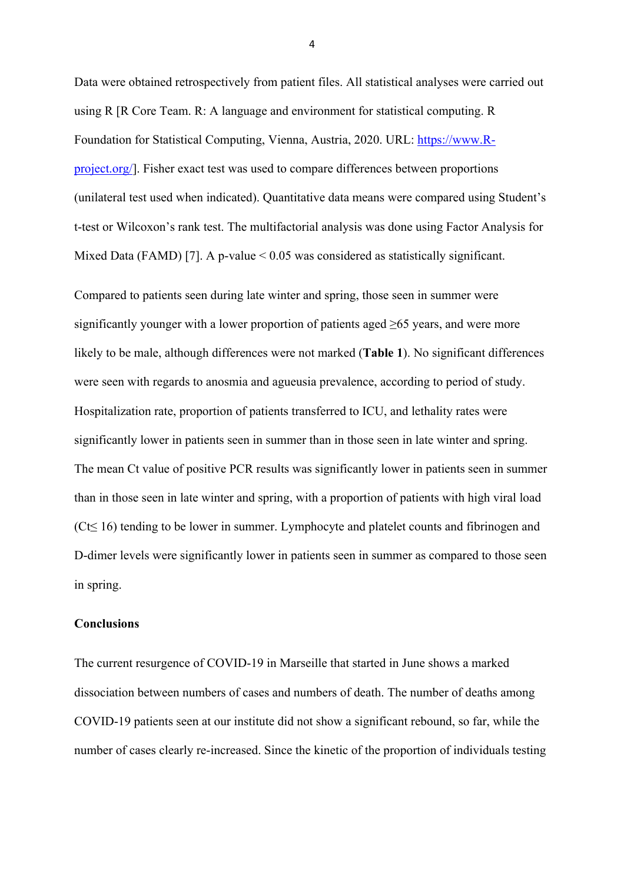Data were obtained retrospectively from patient files. All statistical analyses were carried out using R [R Core Team. R: A language and environment for statistical computing. R Foundation for Statistical Computing, Vienna, Austria, 2020. URL: https://www.Rproject.org/]. Fisher exact test was used to compare differences between proportions (unilateral test used when indicated). Quantitative data means were compared using Student's t-test or Wilcoxon's rank test. The multifactorial analysis was done using Factor Analysis for Mixed Data (FAMD) [7]. A p-value  $\leq 0.05$  was considered as statistically significant.

Compared to patients seen during late winter and spring, those seen in summer were significantly younger with a lower proportion of patients aged  $\geq 65$  years, and were more likely to be male, although differences were not marked (**Table 1**). No significant differences were seen with regards to anosmia and agueusia prevalence, according to period of study. Hospitalization rate, proportion of patients transferred to ICU, and lethality rates were significantly lower in patients seen in summer than in those seen in late winter and spring. The mean Ct value of positive PCR results was significantly lower in patients seen in summer than in those seen in late winter and spring, with a proportion of patients with high viral load (Ct≤ 16) tending to be lower in summer. Lymphocyte and platelet counts and fibrinogen and D-dimer levels were significantly lower in patients seen in summer as compared to those seen in spring.

### **Conclusions**

The current resurgence of COVID-19 in Marseille that started in June shows a marked dissociation between numbers of cases and numbers of death. The number of deaths among COVID-19 patients seen at our institute did not show a significant rebound, so far, while the number of cases clearly re-increased. Since the kinetic of the proportion of individuals testing

4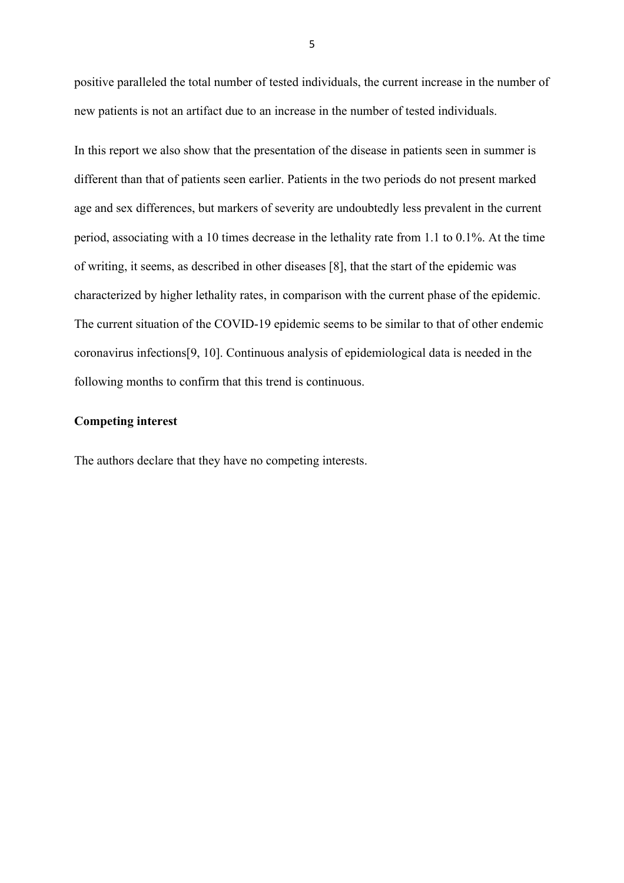positive paralleled the total number of tested individuals, the current increase in the number of new patients is not an artifact due to an increase in the number of tested individuals.

In this report we also show that the presentation of the disease in patients seen in summer is different than that of patients seen earlier. Patients in the two periods do not present marked age and sex differences, but markers of severity are undoubtedly less prevalent in the current period, associating with a 10 times decrease in the lethality rate from 1.1 to 0.1%. At the time of writing, it seems, as described in other diseases [8], that the start of the epidemic was characterized by higher lethality rates, in comparison with the current phase of the epidemic. The current situation of the COVID-19 epidemic seems to be similar to that of other endemic coronavirus infections[9, 10]. Continuous analysis of epidemiological data is needed in the following months to confirm that this trend is continuous.

## **Competing interest**

The authors declare that they have no competing interests.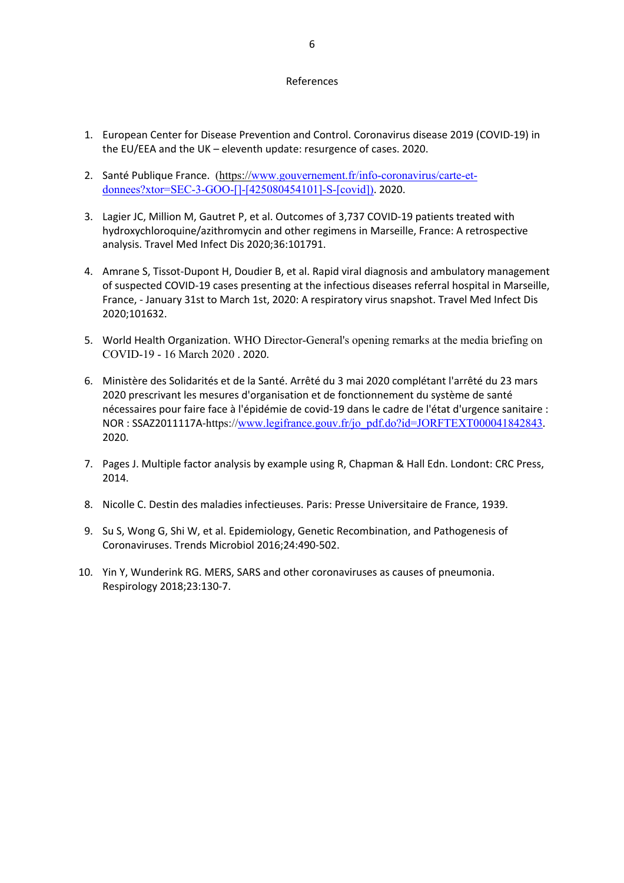### References

- 1. European Center for Disease Prevention and Control. Coronavirus disease 2019 (COVID-19) in the EU/EEA and the UK – eleventh update: resurgence of cases. 2020.
- 2. Santé Publique France. (https://www.gouvernement.fr/info-coronavirus/carte-etdonnees?xtor=SEC-3-GOO-[]-[425080454101]-S-[covid]). 2020.
- 3. Lagier JC, Million M, Gautret P, et al. Outcomes of 3,737 COVID-19 patients treated with hydroxychloroquine/azithromycin and other regimens in Marseille, France: A retrospective analysis. Travel Med Infect Dis 2020;36:101791.
- 4. Amrane S, Tissot-Dupont H, Doudier B, et al. Rapid viral diagnosis and ambulatory management of suspected COVID-19 cases presenting at the infectious diseases referral hospital in Marseille, France, - January 31st to March 1st, 2020: A respiratory virus snapshot. Travel Med Infect Dis 2020;101632.
- 5. World Health Organization. WHO Director-General's opening remarks at the media briefing on COVID-19 - 16 March 2020 . 2020.
- 6. Ministère des Solidarités et de la Santé. Arrêté du 3 mai 2020 complétant l'arrêté du 23 mars 2020 prescrivant les mesures d'organisation et de fonctionnement du système de santé nécessaires pour faire face à l'épidémie de covid-19 dans le cadre de l'état d'urgence sanitaire : NOR : SSAZ2011117A-https://www.legifrance.gouv.fr/jo\_pdf.do?id=JORFTEXT000041842843. 2020.
- 7. Pages J. Multiple factor analysis by example using R, Chapman & Hall Edn. Londont: CRC Press, 2014.
- 8. Nicolle C. Destin des maladies infectieuses. Paris: Presse Universitaire de France, 1939.
- 9. Su S, Wong G, Shi W, et al. Epidemiology, Genetic Recombination, and Pathogenesis of Coronaviruses. Trends Microbiol 2016;24:490-502.
- 10. Yin Y, Wunderink RG. MERS, SARS and other coronaviruses as causes of pneumonia. Respirology 2018;23:130-7.